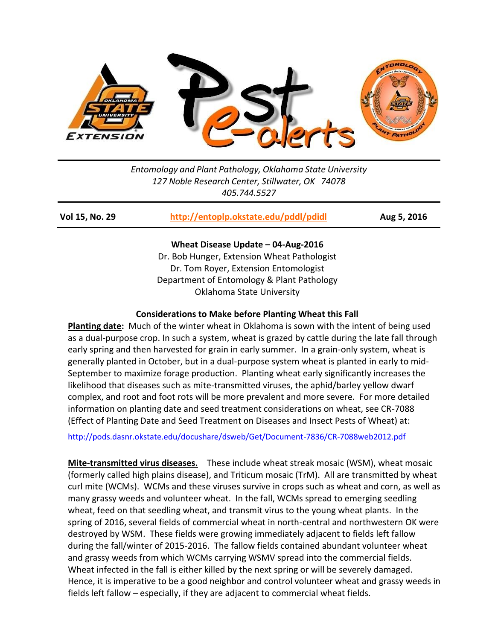

*Entomology and Plant Pathology, Oklahoma State University 127 Noble Research Center, Stillwater, OK 74078 405.744.5527*

**Vol 15, No. 29 <http://entoplp.okstate.edu/pddl/pdidl> Aug 5, 2016**

**Wheat Disease Update – 04-Aug-2016** Dr. Bob Hunger, Extension Wheat Pathologist Dr. Tom Royer, Extension Entomologist Department of Entomology & Plant Pathology Oklahoma State University

## **Considerations to Make before Planting Wheat this Fall**

**Planting date:** Much of the winter wheat in Oklahoma is sown with the intent of being used as a dual-purpose crop. In such a system, wheat is grazed by cattle during the late fall through early spring and then harvested for grain in early summer. In a grain-only system, wheat is generally planted in October, but in a dual-purpose system wheat is planted in early to mid-September to maximize forage production. Planting wheat early significantly increases the likelihood that diseases such as mite-transmitted viruses, the aphid/barley yellow dwarf complex, and root and foot rots will be more prevalent and more severe. For more detailed information on planting date and seed treatment considerations on wheat, see CR-7088 (Effect of Planting Date and Seed Treatment on Diseases and Insect Pests of Wheat) at:

<http://pods.dasnr.okstate.edu/docushare/dsweb/Get/Document-7836/CR-7088web2012.pdf>

**Mite-transmitted virus diseases.** These include wheat streak mosaic (WSM), wheat mosaic (formerly called high plains disease), and Triticum mosaic (TrM). All are transmitted by wheat curl mite (WCMs). WCMs and these viruses survive in crops such as wheat and corn, as well as many grassy weeds and volunteer wheat. In the fall, WCMs spread to emerging seedling wheat, feed on that seedling wheat, and transmit virus to the young wheat plants. In the spring of 2016, several fields of commercial wheat in north-central and northwestern OK were destroyed by WSM. These fields were growing immediately adjacent to fields left fallow during the fall/winter of 2015-2016. The fallow fields contained abundant volunteer wheat and grassy weeds from which WCMs carrying WSMV spread into the commercial fields. Wheat infected in the fall is either killed by the next spring or will be severely damaged. Hence, it is imperative to be a good neighbor and control volunteer wheat and grassy weeds in fields left fallow – especially, if they are adjacent to commercial wheat fields.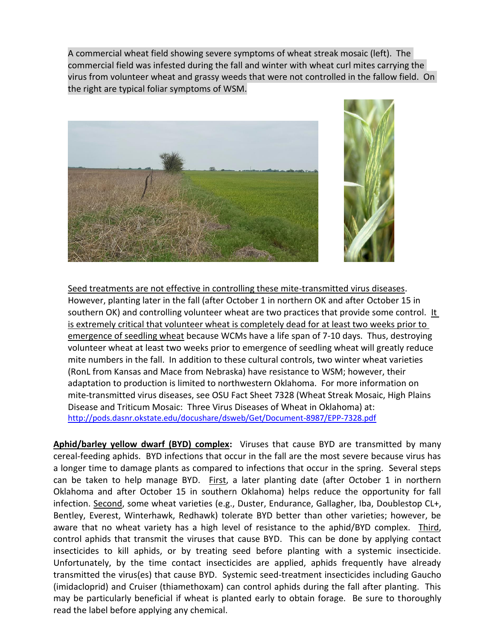A commercial wheat field showing severe symptoms of wheat streak mosaic (left). The commercial field was infested during the fall and winter with wheat curl mites carrying the virus from volunteer wheat and grassy weeds that were not controlled in the fallow field. On the right are typical foliar symptoms of WSM.



Seed treatments are not effective in controlling these mite-transmitted virus diseases. However, planting later in the fall (after October 1 in northern OK and after October 15 in southern OK) and controlling volunteer wheat are two practices that provide some control. It is extremely critical that volunteer wheat is completely dead for at least two weeks prior to emergence of seedling wheat because WCMs have a life span of 7-10 days. Thus, destroying volunteer wheat at least two weeks prior to emergence of seedling wheat will greatly reduce mite numbers in the fall. In addition to these cultural controls, two winter wheat varieties (RonL from Kansas and Mace from Nebraska) have resistance to WSM; however, their adaptation to production is limited to northwestern Oklahoma. For more information on mite-transmitted virus diseases, see OSU Fact Sheet 7328 (Wheat Streak Mosaic, High Plains Disease and Triticum Mosaic: Three Virus Diseases of Wheat in Oklahoma) at: <http://pods.dasnr.okstate.edu/docushare/dsweb/Get/Document-8987/EPP-7328.pdf>

**Aphid/barley yellow dwarf (BYD) complex:** Viruses that cause BYD are transmitted by many cereal-feeding aphids. BYD infections that occur in the fall are the most severe because virus has a longer time to damage plants as compared to infections that occur in the spring. Several steps can be taken to help manage BYD. First, a later planting date (after October 1 in northern Oklahoma and after October 15 in southern Oklahoma) helps reduce the opportunity for fall infection. Second, some wheat varieties (e.g., Duster, Endurance, Gallagher, Iba, Doublestop CL+, Bentley, Everest, Winterhawk, Redhawk) tolerate BYD better than other varieties; however, be aware that no wheat variety has a high level of resistance to the aphid/BYD complex. Third, control aphids that transmit the viruses that cause BYD. This can be done by applying contact insecticides to kill aphids, or by treating seed before planting with a systemic insecticide. Unfortunately, by the time contact insecticides are applied, aphids frequently have already transmitted the virus(es) that cause BYD. Systemic seed-treatment insecticides including Gaucho (imidacloprid) and Cruiser (thiamethoxam) can control aphids during the fall after planting. This may be particularly beneficial if wheat is planted early to obtain forage. Be sure to thoroughly read the label before applying any chemical.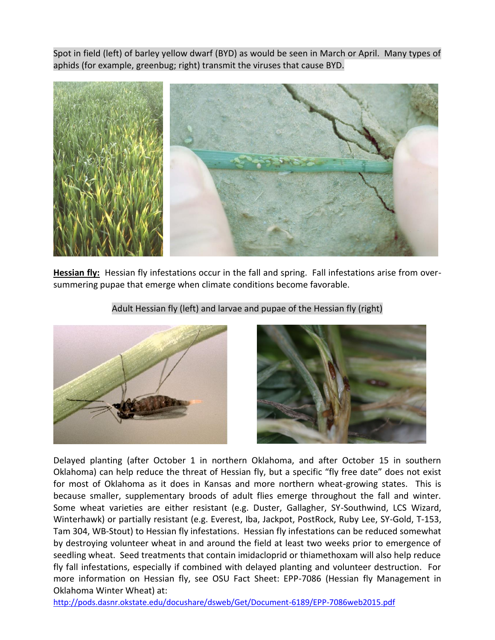Spot in field (left) of barley yellow dwarf (BYD) as would be seen in March or April. Many types of aphids (for example, greenbug; right) transmit the viruses that cause BYD.



**Hessian fly:** Hessian fly infestations occur in the fall and spring. Fall infestations arise from oversummering pupae that emerge when climate conditions become favorable.



Adult Hessian fly (left) and larvae and pupae of the Hessian fly (right)



Delayed planting (after October 1 in northern Oklahoma, and after October 15 in southern Oklahoma) can help reduce the threat of Hessian fly, but a specific "fly free date" does not exist for most of Oklahoma as it does in Kansas and more northern wheat-growing states. This is because smaller, supplementary broods of adult flies emerge throughout the fall and winter. Some wheat varieties are either resistant (e.g. Duster, Gallagher, SY-Southwind, LCS Wizard, Winterhawk) or partially resistant (e.g. Everest, Iba, Jackpot, PostRock, Ruby Lee, SY-Gold, T-153, Tam 304, WB-Stout) to Hessian fly infestations. Hessian fly infestations can be reduced somewhat by destroying volunteer wheat in and around the field at least two weeks prior to emergence of seedling wheat. Seed treatments that contain imidacloprid or thiamethoxam will also help reduce fly fall infestations, especially if combined with delayed planting and volunteer destruction. For more information on Hessian fly, see OSU Fact Sheet: EPP-7086 (Hessian fly Management in Oklahoma Winter Wheat) at:

<http://pods.dasnr.okstate.edu/docushare/dsweb/Get/Document-6189/EPP-7086web2015.pdf>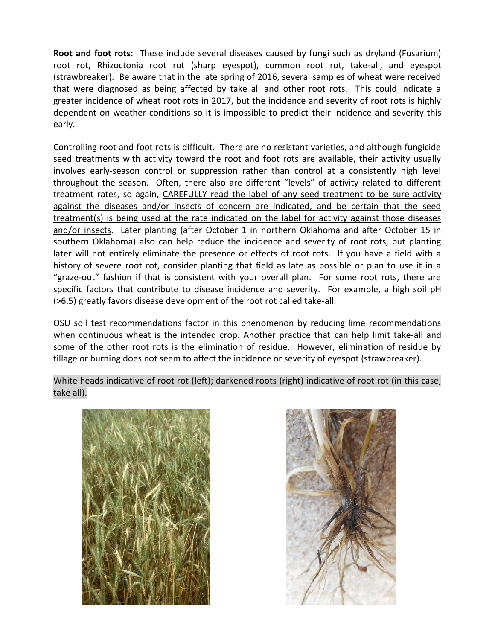**Root and foot rots:** These include several diseases caused by fungi such as dryland (Fusarium) root rot, Rhizoctonia root rot (sharp eyespot), common root rot, take-all, and eyespot (strawbreaker). Be aware that in the late spring of 2016, several samples of wheat were received that were diagnosed as being affected by take all and other root rots. This could indicate a greater incidence of wheat root rots in 2017, but the incidence and severity of root rots is highly dependent on weather conditions so it is impossible to predict their incidence and severity this early.

Controlling root and foot rots is difficult. There are no resistant varieties, and although fungicide seed treatments with activity toward the root and foot rots are available, their activity usually involves early-season control or suppression rather than control at a consistently high level throughout the season. Often, there also are different "levels" of activity related to different treatment rates, so again, CAREFULLY read the label of any seed treatment to be sure activity against the diseases and/or insects of concern are indicated, and be certain that the seed treatment(s) is being used at the rate indicated on the label for activity against those diseases and/or insects. Later planting (after October 1 in northern Oklahoma and after October 15 in southern Oklahoma) also can help reduce the incidence and severity of root rots, but planting later will not entirely eliminate the presence or effects of root rots. If you have a field with a history of severe root rot, consider planting that field as late as possible or plan to use it in a "graze-out" fashion if that is consistent with your overall plan. For some root rots, there are specific factors that contribute to disease incidence and severity. For example, a high soil pH (>6.5) greatly favors disease development of the root rot called take-all.

OSU soil test recommendations factor in this phenomenon by reducing lime recommendations when continuous wheat is the intended crop. Another practice that can help limit take-all and some of the other root rots is the elimination of residue. However, elimination of residue by tillage or burning does not seem to affect the incidence or severity of eyespot (strawbreaker).

White heads indicative of root rot (left); darkened roots (right) indicative of root rot (in this case, take all).